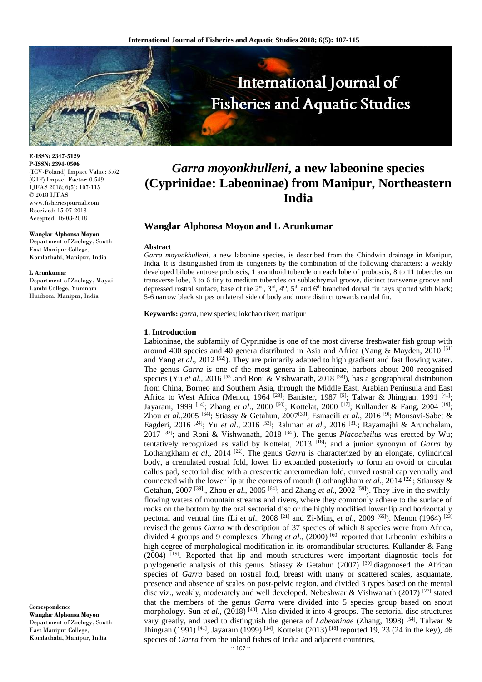

**E-ISSN: 2347-5129 P-ISSN: 2394-0506** (ICV-Poland) Impact Value: 5.62 (GIF) Impact Factor: 0.549 IJFAS 2018; 6(5): 107-115 © 2018 IJFAS www.fisheriesjournal.com Received: 15-07-2018 Accepted: 16-08-2018

**Wanglar Alphonsa Moyon**

Department of Zoology, South East Manipur College, Komlathabi, Manipur, India

#### **L Arunkumar**

Department of Zoology, Mayai Lambi College, Yumnam Huidrom, Manipur, India

**Correspondence Wanglar Alphonsa Moyon** Department of Zoology, South East Manipur College, Komlathabi, Manipur, India

# *Garra moyonkhulleni***, a new labeonine species (Cyprinidae: Labeoninae) from Manipur, Northeastern India**

## **Wanglar Alphonsa Moyon and L Arunkumar**

#### **Abstract**

*Garra moyonkhulleni,* a new labonine species, is described from the Chindwin drainage in Manipur, India. It is distinguished from its congeners by the combination of the following characters: a weakly developed bilobe antrose proboscis, 1 acanthoid tubercle on each lobe of proboscis, 8 to 11 tubercles on transverse lobe, 3 to 6 tiny to medium tubercles on sublachrymal groove, distinct transverse groove and depressed rostral surface, base of the  $2<sup>nd</sup>$ ,  $3<sup>rd</sup>$ ,  $4<sup>th</sup>$ ,  $5<sup>th</sup>$  and  $6<sup>th</sup>$  branched dorsal fin rays spotted with black; 5-6 narrow black stripes on lateral side of body and more distinct towards caudal fin.

**Keywords:** *garra,* new species; lokchao river; manipur

## **1. Introduction**

Labioninae, the subfamily of Cyprinidae is one of the most diverse freshwater fish group with around 400 species and 40 genera distributed in Asia and Africa (Yang & Mayden, 2010 <sup>[51]</sup> and Yang *et al.*, 2012<sup>[52]</sup>). They are primarily adapted to high gradient and fast flowing water. The genus *Garra* is one of the most genera in Labeoninae, harbors about 200 recognised species (Yu *et al.*, 2016<sup>[53]</sup>, and Roni & Vishwanath, 2018<sup>[34]</sup>), has a geographical distribution from China, Borneo and Southern Asia, through the Middle East, Arabian Peninsula and East Africa to West Africa (Menon, 1964<sup>[23]</sup>; Banister, 1987<sup>[5]</sup>; Talwar & Jhingran, 1991<sup>[41]</sup>; Jayaram, 1999 [14] ; Zhang *et al*., 2000 [60]; Kottelat, 2000 [17]; Kullander & Fang, 2004 [19]; Zhou *et al.,*2005 [64]; Stiassy & Getahun, 2007[39]; Esmaeili *et al*., 2016 [9]; Mousavi-Sabet & Eagderi, 2016 [24]; Yu *et al*., 2016 [53]; Rahman *et al*., 2016 [31]; Rayamajhi & Arunchalam, 2017 [32]; and Roni & Vishwanath, 2018 [34]). The genus *Placocheilus* was erected by Wu; tentatively recognized as valid by Kottelat, 2013 [18]; and a junior synonym of *Garra* by Lothangkham *et al.*, 2014<sup>[22]</sup>. The genus *Garra* is characterized by an elongate, cylindrical body, a crenulated rostral fold, lower lip expanded posteriorly to form an ovoid or circular callus pad, sectorial disc with a crescentic anteromedian fold, curved rostral cap ventrally and connected with the lower lip at the corners of mouth (Lothangkham *et al.*, 2014<sup>[22]</sup>; Stianssy & Getahun, 2007<sup>[39]</sup>., Zhou *et al.*, 2005<sup>[64]</sup>; and Zhang *et al.*, 2002<sup>[59]</sup>). They live in the swiftlyflowing waters of mountain streams and rivers, where they commonly adhere to the surface of rocks on the bottom by the oral sectorial disc or the highly modified lower lip and horizontally pectoral and ventral fins (Li *et al.*, 2008<sup>[21]</sup> and Zi-Ming *et al.*, 2009<sup>[65]</sup>). Menon (1964)<sup>[23]</sup> revised the genus *Garra* with description of 37 species of which 8 species were from Africa, divided 4 groups and 9 complexes. Zhang et al., (2000)<sup>[60]</sup> reported that Labeonini exhibits a high degree of morphological modification in its oromandibular structures. Kullander & Fang (2004) [19] . Reported that lip and mouth structures were important diagnostic tools for phylogenetic analysis of this genus. Stiassy & Getahun (2007)  $^{[39]}$  diagonosed the African species of *Garra* based on rostral fold, breast with many or scattered scales, asquamate, presence and absence of scales on post-pelvic region, and divided 3 types based on the mental disc viz., weakly, moderately and well developed. Nebeshwar & Vishwanath (2017)  $^{[27]}$  stated that the members of the genus *Garra* were divided into 5 species group based on snout morphology. Sun *et al.*,  $(2018)$ <sup>[40]</sup>. Also divided it into 4 groups. The sectorial disc structures vary greatly, and used to distinguish the genera of *Labeoninae* (Zhang, 1998) [54]. Talwar & Jhingran (1991) [41], Jayaram (1999) [14], Kottelat (2013) [18] reported 19, 23 (24 in the key), 46 species of *Garra* from the inland fishes of India and adjacent countries,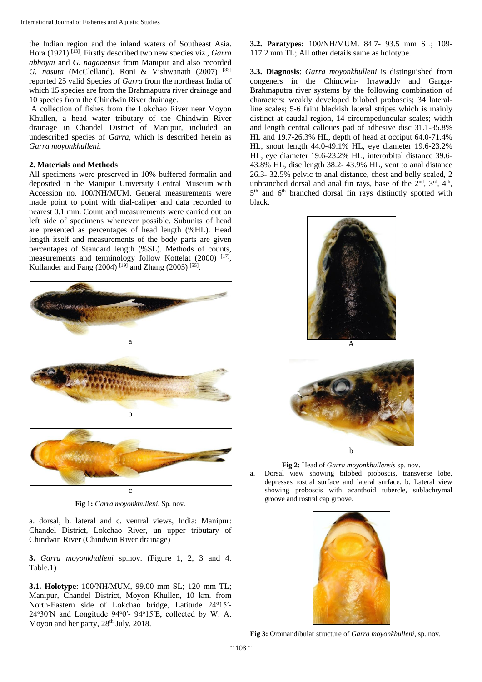the Indian region and the inland waters of Southeast Asia. Hora (1921) [13] . Firstly described two new species viz., *Garra abhoyai* and *G. naganensis* from Manipur and also recorded *G. nasuta* (McClelland). Roni & Vishwanath (2007) [33] reported 25 valid Species of *Garra* from the northeast India of which 15 species are from the Brahmaputra river drainage and 10 species from the Chindwin River drainage.

A collection of fishes from the Lokchao River near Moyon Khullen, a head water tributary of the Chindwin River drainage in Chandel District of Manipur, included an undescribed species of *Garra*, which is described herein as *Garra moyonkhulleni*.

## **2. Materials and Methods**

All specimens were preserved in 10% buffered formalin and deposited in the Manipur University Central Museum with Accession no. 100/NH/MUM. General measurements were made point to point with dial-caliper and data recorded to nearest 0.1 mm. Count and measurements were carried out on left side of specimens whenever possible. Subunits of head are presented as percentages of head length (%HL). Head length itself and measurements of the body parts are given percentages of Standard length (%SL). Methods of counts, measurements and terminology follow Kottelat (2000) [17], Kullander and Fang  $(2004)$ <sup>[19]</sup> and Zhang  $(2005)$ <sup>[55]</sup>.





**Fig 1:** *Garra moyonkhulleni*. Sp. nov.

a. dorsal, b. lateral and c. ventral views, India: Manipur: Chandel District, Lokchao River, un upper tributary of Chindwin River (Chindwin River drainage)

**3.** *Garra moyonkhulleni* sp.nov. (Figure 1, 2, 3 and 4. Table.1)

**3.1. Holotype**: 100/NH/MUM, 99.00 mm SL; 120 mm TL; Manipur, Chandel District, Moyon Khullen, 10 km. from North-Eastern side of Lokchao bridge, Latitude 24°15'-24 $90'$ N and Longitude  $94^{\circ}0'$ -  $94^{\circ}15'$ E, collected by W. A. Moyon and her party, 28<sup>th</sup> July, 2018.

**3.2. Paratypes:** 100/NH/MUM. 84.7- 93.5 mm SL; 109- 117.2 mm TL; All other details same as holotype.

**3.3. Diagnosis**: *Garra moyonkhulleni* is distinguished from congeners in the Chindwin- Irrawaddy and Ganga-Brahmaputra river systems by the following combination of characters: weakly developed bilobed proboscis; 34 lateralline scales; 5-6 faint blackish lateral stripes which is mainly distinct at caudal region, 14 circumpeduncular scales; width and length central calloues pad of adhesive disc 31.1-35.8% HL and 19.7-26.3% HL, depth of head at occiput 64.0-71.4% HL, snout length 44.0-49.1% HL, eye diameter 19.6-23.2% HL, eye diameter 19.6-23.2% HL, interorbital distance 39.6- 43.8% HL, disc length 38.2- 43.9% HL, vent to anal distance 26.3- 32.5% pelvic to anal distance, chest and belly scaled, 2 unbranched dorsal and anal fin rays, base of the  $2<sup>nd</sup>$ ,  $3<sup>rd</sup>$ ,  $4<sup>th</sup>$ , 5<sup>th</sup> and 6<sup>th</sup> branched dorsal fin rays distinctly spotted with black.





**Fig 2:** Head of *Garra moyonkhullensis* sp. nov.

a. Dorsal view showing bilobed proboscis, transverse lobe, depresses rostral surface and lateral surface. b. Lateral view showing proboscis with acanthoid tubercle, sublachrymal groove and rostral cap groove.



**Fig 3:** Oromandibular structure of *Garra moyonkhulleni*, sp. nov.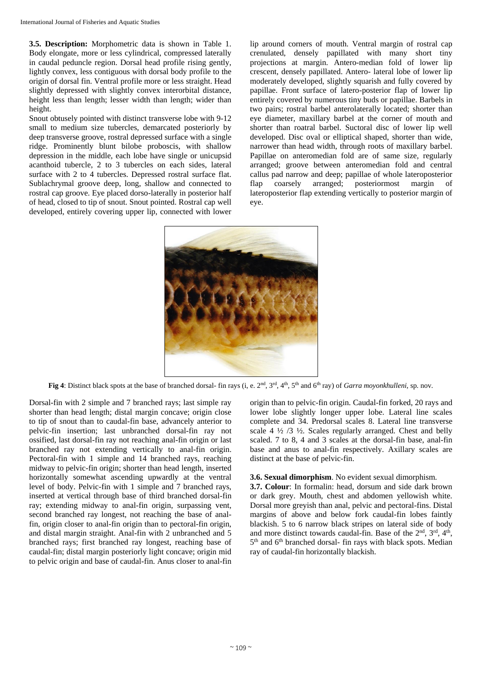**3.5. Description:** Morphometric data is shown in Table 1. Body elongate, more or less cylindrical, compressed laterally in caudal peduncle region. Dorsal head profile rising gently, lightly convex, less contiguous with dorsal body profile to the origin of dorsal fin. Ventral profile more or less straight. Head slightly depressed with slightly convex interorbital distance, height less than length; lesser width than length; wider than height.

Snout obtusely pointed with distinct transverse lobe with 9-12 small to medium size tubercles, demarcated posteriorly by deep transverse groove, rostral depressed surface with a single ridge. Prominently blunt bilobe proboscis, with shallow depression in the middle, each lobe have single or unicupsid acanthoid tubercle, 2 to 3 tubercles on each sides, lateral surface with 2 to 4 tubercles. Depressed rostral surface flat. Sublachrymal groove deep, long, shallow and connected to rostral cap groove. Eye placed dorso-laterally in posterior half of head, closed to tip of snout. Snout pointed. Rostral cap well developed, entirely covering upper lip, connected with lower

lip around corners of mouth. Ventral margin of rostral cap crenulated, densely papillated with many short tiny projections at margin. Antero-median fold of lower lip crescent, densely papillated. Antero- lateral lobe of lower lip moderately developed, slightly squarish and fully covered by papillae. Front surface of latero-posterior flap of lower lip entirely covered by numerous tiny buds or papillae. Barbels in two pairs; rostral barbel anterolaterally located; shorter than eye diameter, maxillary barbel at the corner of mouth and shorter than roatral barbel. Suctoral disc of lower lip well developed. Disc oval or elliptical shaped, shorter than wide, narrower than head width, through roots of maxillary barbel. Papillae on anteromedian fold are of same size, regularly arranged; groove between anteromedian fold and central callus pad narrow and deep; papillae of whole lateroposterior flap coarsely arranged; posteriormost margin of lateroposterior flap extending vertically to posterior margin of eye.



Fig 4: Distinct black spots at the base of branched dorsal- fin rays (i, e. 2<sup>nd</sup>, 3<sup>rd</sup>, 4<sup>th</sup>, 5<sup>th</sup> and 6<sup>th</sup> ray) of *Garra moyonkhulleni*, sp. nov.

Dorsal-fin with 2 simple and 7 branched rays; last simple ray shorter than head length; distal margin concave; origin close to tip of snout than to caudal-fin base, advancely anterior to pelvic-fin insertion; last unbranched dorsal-fin ray not ossified, last dorsal-fin ray not reaching anal-fin origin or last branched ray not extending vertically to anal-fin origin. Pectoral-fin with 1 simple and 14 branched rays, reaching midway to pelvic-fin origin; shorter than head length, inserted horizontally somewhat ascending upwardly at the ventral level of body. Pelvic-fin with 1 simple and 7 branched rays, inserted at vertical through base of third branched dorsal-fin ray; extending midway to anal-fin origin, surpassing vent, second branched ray longest, not reaching the base of analfin, origin closer to anal-fin origin than to pectoral-fin origin, and distal margin straight. Anal-fin with 2 unbranched and 5 branched rays; first branched ray longest, reaching base of caudal-fin; distal margin posteriorly light concave; origin mid to pelvic origin and base of caudal-fin. Anus closer to anal-fin

origin than to pelvic-fin origin. Caudal-fin forked, 20 rays and lower lobe slightly longer upper lobe. Lateral line scales complete and 34. Predorsal scales 8. Lateral line transverse scale  $4\frac{1}{2}$  /3  $\frac{1}{2}$ . Scales regularly arranged. Chest and belly scaled. 7 to 8, 4 and 3 scales at the dorsal-fin base, anal-fin base and anus to anal-fin respectively. Axillary scales are distinct at the base of pelvic-fin.

## **3.6. Sexual dimorphism**. No evident sexual dimorphism.

**3.7. Colour**: In formalin: head, dorsum and side dark brown or dark grey. Mouth, chest and abdomen yellowish white. Dorsal more greyish than anal, pelvic and pectoral-fins. Distal margins of above and below fork caudal-fin lobes faintly blackish. 5 to 6 narrow black stripes on lateral side of body and more distinct towards caudal-fin. Base of the  $2<sup>nd</sup>$ ,  $3<sup>rd</sup>$ ,  $4<sup>th</sup>$ , 5<sup>th</sup> and 6<sup>th</sup> branched dorsal- fin rays with black spots. Median ray of caudal-fin horizontally blackish.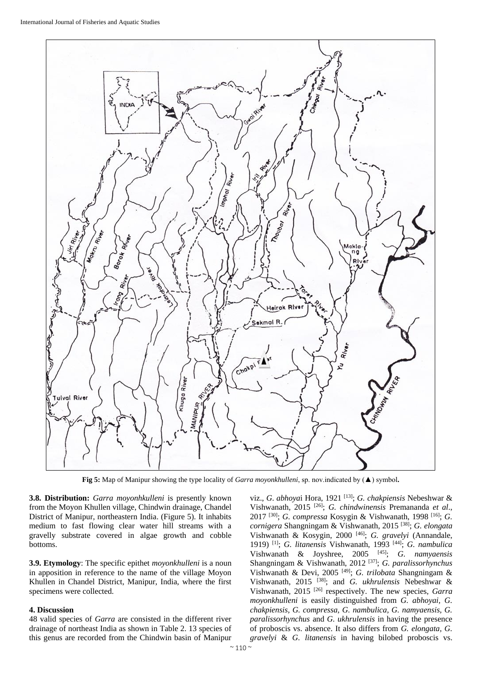

**Fig 5:** Map of Manipur showing the type locality of *Garra moyonkhulleni*, sp. nov.indicated by (▲) symbol**.**

**3.8. Distribution:** *Garra moyonhkulleni* is presently known from the Moyon Khullen village, Chindwin drainage, Chandel District of Manipur, northeastern India. (Figure 5). It inhabits medium to fast flowing clear water hill streams with a gravelly substrate covered in algae growth and cobble bottoms.

**3.9. Etymology**: The specific epithet *moyonkhulleni* is a noun in apposition in reference to the name of the village Moyon Khullen in Chandel District, Manipur, India, where the first specimens were collected.

### **4. Discussion**

48 valid species of *Garra* are consisted in the different river drainage of northeast India as shown in Table 2. 13 species of this genus are recorded from the Chindwin basin of Manipur

viz., *G*. *abhoya*i Hora, 1921 [13]; *G. chakpiensis* Nebeshwar & Vishwanath, 2015 [26]; *G. chindwinensis* Premananda *et al*., 2017 [30]; *G. compressa* Kosygin & Vishwanath, 1998 [16]; *G. cornigera* Shangningam & Vishwanath, 2015 [38]; *G. elongata* Vishwanath & Kosygin, 2000 [46]; *G. gravelyi* (Annandale, 1919) [1]; *G. litanensis* Vishwanath, 1993 [44]; *G. nambulica* Vishwanath & Joyshree, 2005 [45]; *G. namyaensis* Shangningam & Vishwanath, 2012 [37]; *G. paralissorhynchus* Vishwanath & Devi, 2005 [49]; *G. trilobata* Shangningam & Vishwanath, 2015 [38]; and *G. ukhrulensis* Nebeshwar & Vishwanath, 2015 [26] respectively. The new species, *Garra moyonkhulleni* is easily distinguished from *G. abhoyai, G. chakpiensis, G. compressa, G. nambulica, G. namyaensis, G. paralissorhynchus* and *G. ukhrulensis* in having the presence of proboscis vs. absence. It also differs from *G. elongata, G. gravelyi* & *G. litanensis* in having bilobed proboscis vs.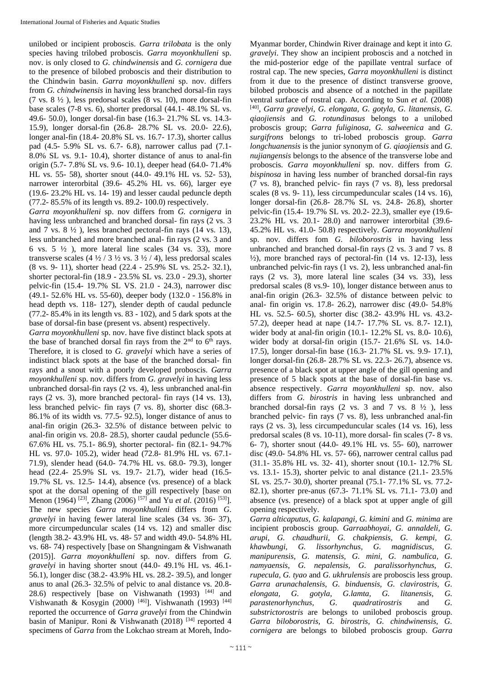unilobed or incipient proboscis. *Garra trilobata* is the only species having trilobed proboscis. *Garra moyonkhulleni* sp. nov. is only closed to *G. chindwinensis* and *G. cornigera* due to the presence of bilobed proboscis and their distribution to the Chindwin basin. *Garra moyonkhulleni* sp. nov. differs from *G. chindwinensis* in having less branched dorsal-fin rays  $(7 \text{ vs. } 8 \frac{1}{2})$ , less predorsal scales  $(8 \text{ vs. } 10)$ , more dorsal-fin base scales (7-8 vs. 6), shorter predorsal (44.1- 48.1% SL vs. 49.6- 50.0), longer dorsal-fin base (16.3- 21.7% SL vs. 14.3- 15.9), longer dorsal-fin (26.8- 28.7% SL vs. 20.0- 22.6), longer anal-fin (18.4- 20.8% SL vs. 16.7- 17.3), shorter callus pad (4.5- 5.9% SL vs. 6.7- 6.8), narrower callus pad (7.1- 8.0% SL vs. 9.1- 10.4), shorter distance of anus to anal-fin origin (5.7- 7.8% SL vs. 9.6- 10.1), deeper head (64.0- 71.4% HL vs. 55- 58), shorter snout (44.0- 49.1% HL vs. 52- 53), narrower interorbital (39.6- 45.2% HL vs. 66), larger eye (19.6- 23.2% HL vs. 14- 19) and lesser caudal peduncle depth (77.2- 85.5% of its length vs. 89.2- 100.0) respectively.

*Garra moyonkhulleni* sp. nov differs from *G. cornigera* in having less unbranched and branched dorsal- fin rays (2 vs. 3 and 7 vs.  $8\frac{1}{2}$ , less branched pectoral-fin rays (14 vs. 13), less unbranched and more branched anal- fin rays (2 vs. 3 and 6 vs.  $5\frac{1}{2}$ , more lateral line scales (34 vs. 33), more transverse scales  $(4\frac{1}{2}$  / 3  $\frac{1}{2}$  vs. 3  $\frac{1}{2}$  / 4), less predorsal scales (8 vs. 9- 11), shorter head (22.4 - 25.9% SL vs. 25.2- 32.1), shorter pectoral-fin (18.9 - 23.5% SL vs. 23.0 - 29.3), shorter pelvic-fin (15.4- 19.7% SL VS. 21.0 - 24.3), narrower disc (49.1- 52.6% HL vs. 55-60), deeper body (132.0 - 156.8% in head depth vs. 118- 127), slender depth of caudal peduncle (77.2- 85.4% in its length vs. 83 - 102), and 5 dark spots at the base of dorsal-fin base (present vs. absent) respectively.

*Garra moyonkhulleni* sp. nov. have five distinct black spots at the base of branched dorsal fin rays from the  $2<sup>nd</sup>$  to  $6<sup>th</sup>$  rays. Therefore, it is closed to *G. gravelyi* which have a series of indistinct black spots at the base of the branched dorsal- fin rays and a snout with a poorly developed proboscis. *Garra moyonkhulleni* sp. nov. differs from *G. gravelyi* in having less unbranched dorsal-fin rays (2 vs. 4), less unbranched anal-fin rays (2 vs. 3), more branched pectoral- fin rays (14 vs. 13), less branched pelvic- fin rays (7 vs. 8), shorter disc (68.3- 86.1% of its width vs. 77.5- 92.5), longer distance of anus to anal-fin origin (26.3- 32.5% of distance between pelvic to anal-fin origin vs. 20.8- 28.5), shorter caudal peduncle (55.6- 67.6% HL vs. 75.1- 86.9), shorter pectoral- fin (82.1- 94.7% HL vs. 97.0- 105.2), wider head (72.8- 81.9% HL vs. 67.1- 71.9), slender head (64.0- 74.7% HL vs. 68.0- 79.3), longer head (22.4- 25.9% SL vs. 19.7- 21.7), wider head (16.5- 19.7% SL vs. 12.5- 14.4), absence (vs. presence) of a black spot at the dorsal opening of the gill respectively [base on Menon (1964) <sup>[23]</sup>, Zhang (2006) <sup>[57]</sup> and Yu *et al.* (2016) <sup>[53]</sup>]. The new species *Garra moyonkhulleni* differs from *G*. *gravelyi* in having fewer lateral line scales (34 vs. 36- 37), more circumpeduncular scales (14 vs. 12) and smaller disc (length 38.2- 43.9% HL vs. 48- 57 and width 49.0- 54.8% HL vs. 68- 74) respectively [base on Shangningam & Vishwanath (2015)]. *Garra moyonkhulleni* sp. nov. differs from *G. gravelyi* in having shorter snout (44.0- 49.1% HL vs. 46.1- 56.1), longer disc (38.2- 43.9% HL vs. 28.2- 39.5), and longer anus to anal (26.3- 32.5% of pelvic to anal distance vs. 20.8- 28.6) respectively [base on Vishwanath (1993) [44] and Vishwanath & Kosygin (2000)  $[46]$ . Vishwanath (1993)  $[44]$ reported the occurrence of *Garra gravelyi* from the Chindwin basin of Manipur. Roni & Vishwanath (2018) [34] reported 4 specimens of *Garra* from the Lokchao stream at Moreh, IndoMyanmar border, Chindwin River drainage and kept it into *G. gravelyi*. They show an incipient proboscis and a notched in the mid-posterior edge of the papillate ventral surface of rostral cap. The new species, *Garra moyonkhulleni* is distinct from it due to the presence of distinct transverse groove, bilobed proboscis and absence of a notched in the papillate ventral surface of rostral cap. According to Sun *et al.* (2008) [40] , *Garra gravelyi, G. elongata, G. gotyla, G. litanensis, G. qiaojiensis* and *G. rotundinasus* belongs to a unilobed proboscis group; *Garra fuliginosa, G. salweenica* and *G. surgifrons* belongs to tri-lobed proboscis group. *Garra longchuanensis* is the junior synonym of *G. qiaojiensis* and *G. nujiangensis* belongs to the absence of the transverse lobe and proboscis. *Garra moyonkhulleni* sp. nov. differs from *G. bispinosa* in having less number of branched dorsal-fin rays (7 vs. 8), branched pelvic- fin rays (7 vs. 8), less predorsal scales (8 vs. 9- 11), less circumpeduncular scales (14 vs. 16), longer dorsal-fin (26.8- 28.7% SL vs. 24.8- 26.8), shorter pelvic-fin (15.4- 19.7% SL vs. 20.2- 22.3), smaller eye (19.6- 23.2% HL vs. 20.1- 28.0) and narrower interorbital (39.6- 45.2% HL vs. 41.0- 50.8) respectively. *Garra moyonkhulleni* sp. nov. differs fom *G. biloborostris* in having less unbranched and branched dorsal-fin rays (2 vs. 3 and 7 vs. 8  $\frac{1}{2}$ , more branched rays of pectoral-fin (14 vs. 12-13), less unbranched pelvic-fin rays (1 vs. 2), less unbranched anal-fin rays (2 vs. 3), more lateral line scales (34 vs. 33), less predorsal scales (8 vs.9- 10), longer distance between anus to anal-fin origin (26.3- 32.5% of distance between pelvic to anal- fin origin vs. 17.8- 26.2), narrower disc (49.0- 54.8% HL vs. 52.5- 60.5), shorter disc (38.2- 43.9% HL vs. 43.2- 57.2), deeper head at nape (14.7- 17.7% SL vs. 8.7- 12.1), wider body at anal-fin origin (10.1- 12.2% SL vs. 8.0- 10.6), wider body at dorsal-fin origin (15.7- 21.6% SL vs. 14.0- 17.5), longer dorsal-fin base (16.3- 21.7% SL vs. 9.9- 17.1), longer dorsal-fin (26.8- 28.7% SL vs. 22.3- 26.7), absence vs. presence of a black spot at upper angle of the gill opening and presence of 5 black spots at the base of dorsal-fin base vs. absence respectively. *Garra moyonkhulleni* sp. nov. also differs from *G. birostris* in having less unbranched and branched dorsal-fin rays  $(2 \text{ vs. } 3 \text{ and } 7 \text{ vs. } 8 \frac{1}{2})$ , less branched pelvic- fin rays (7 vs. 8), less unbranched anal-fin rays (2 vs. 3), less circumpeduncular scales (14 vs. 16), less predorsal scales (8 vs. 10-11), more dorsal- fin scales (7- 8 vs. 6- 7), shorter snout (44.0- 49.1% HL vs. 55- 60), narrower disc (49.0- 54.8% HL vs. 57- 66), narrower central callus pad (31.1- 35.8% HL vs. 32- 41), shorter snout (10.1- 12.7% SL vs. 13.1- 15.3), shorter pelvic to anal distance (21.1- 23.5% SL vs. 25.7- 30.0), shorter preanal (75.1- 77.1% SL vs. 77.2- 82.1), shorter pre-anus (67.3- 71.1% SL vs. 71.1- 73.0) and absence (vs. presence) of a black spot at upper angle of gill opening respectively.

*Garra alticaputus, G. kalapangi, G. kimini* and *G. minima* are incipient proboscis group. *Garraabhoyai, G. annaldeli, G. arupi, G. chaudhurii, G. chakpiensis, G. kempi, G. khawbungi, G. lissorhynchus, G. magnidiscus, G. manipurensis, G. matensis, G. mini, G. nambulica, G. namyaensis, G. nepalensis, G. paralissorhynchus, G. rupecula, G. tyao* and *G. ukhrulensis* are proboscis less group. *Garra arunachalensis, G. binduensis, G. clavirostris, G. elongata, G. gotyla, G.lamta, G. litanensis, G. parastenorhynchus, G. quadratirostris* and *G. substrictorostris* are belongs to unilobed proboscis group. *Garra biloborostris, G. birostris, G. chindwinensis, G. cornigera* are belongs to bilobed proboscis group. *Garra*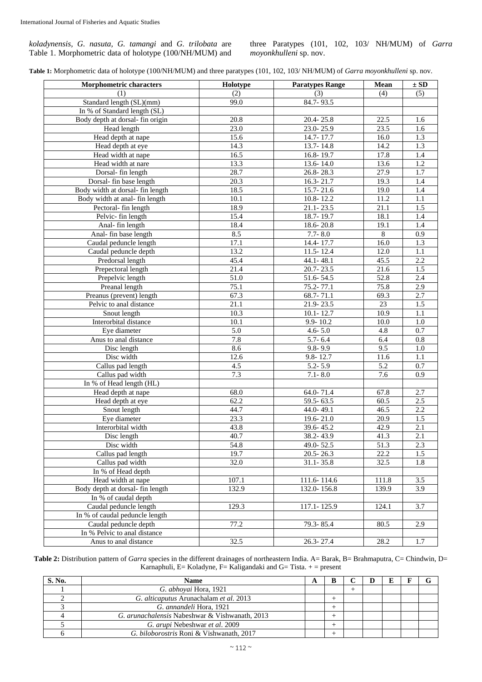*koladynensis, G. nasuta, G. tamangi* and *G. trilobata* are Table 1. Morphometric data of holotype (100/NH/MUM) and

three Paratypes (101, 102, 103/ NH/MUM) of *Garra moyonkhulleni* sp. nov.

**Table 1:** Morphometric data of holotype (100/NH/MUM) and three paratypes (101, 102, 103/ NH/MUM) of *Garra moyonkhulleni* sp. nov.

| <b>Morphometric characters</b>   | Holotype          | <b>Paratypes Range</b>     | Mean              | $\pm$ SD         |
|----------------------------------|-------------------|----------------------------|-------------------|------------------|
| (1)                              | (2)               | (3)                        | (4)               | (5)              |
| Standard length (SL)(mm)         | 99.0              | 84.7-93.5                  |                   |                  |
| In % of Standard length (SL)     |                   |                            |                   |                  |
| Body depth at dorsal- fin origin | $\overline{20.8}$ | $20.4 - 25.8$              | 22.5              | 1.6              |
| Head length                      | 23.0              | 23.0-25.9                  | 23.5              | 1.6              |
| Head depth at nape               | 15.6              | 14.7-17.7                  | 16.0              | 1.3              |
| Head depth at eye                | 14.3              | 13.7-14.8                  | 14.2              | 1.3              |
| Head width at nape               | 16.5              | $16.8 - 19.7$              | 17.8              | 1.4              |
| Head width at nare               | 13.3              | 13.6-14.0                  | 13.6              | $\overline{1.2}$ |
| Dorsal- fin length               | 28.7              | $26.8 - 28.3$              | 27.9              | 1.7              |
| Dorsal- fin base length          | 20.3              | $16.3 - 21.7$              | 19.3              | 1.4              |
| Body width at dorsal- fin length | 18.5              | $15.7 - 21.6$              | 19.0              | 1.4              |
| Body width at anal- fin length   | 10.1              | 10.8-12.2                  | 11.2              | 1.1              |
| Pectoral- fin length             | 18.9              | $21.1 - 23.5$              | 21.1              | 1.5              |
| Pelvic-fin length                | 15.4              | 18.7-19.7                  | 18.1              | 1.4              |
| Anal- fin length                 | 18.4              | 18.6-20.8                  | 19.1              | 1.4              |
| Anal- fin base length            | 8.5               | $7.7 - 8.0$                | 8                 | 0.9              |
| Caudal peduncle length           | 17.1              | 14.4-17.7                  | 16.0              | 1.3              |
| Caudal peduncle depth            | 13.2              | $11.5 - 12.4$              | 12.0              | 1.1              |
| Predorsal length                 | 45.4              | 44.1-48.1                  | 45.5              | 2.2              |
| Prepectoral length               | 21.4              | $20.7 - 23.5$              | 21.6              | 1.5              |
| Prepelvic length                 | 51.0              | 51.6-54.5                  | 52.8              | 2.4              |
| Preanal length                   | 75.1              | 75.2-77.1                  | 75.8              | 2.9              |
| Preanus (prevent) length         | 67.3              | $68.7 - 71.1$              | 69.3              | 2.7              |
| Pelvic to anal distance          | $\overline{21.1}$ | $21.9 - 23.5$              | $\overline{23}$   | 1.5              |
| Snout length                     | 10.3              | $10.1 - 12.7$              | 10.9              | 1.1              |
| Interorbital distance            | 10.1              |                            | 10.0              | 1.0              |
| Eye diameter                     | 5.0               | $9.9 - 10.2$               | 4.8               | 0.7              |
|                                  | 7.8               | $4.6 - 5.0$<br>$5.7 - 6.4$ |                   | $\overline{0.8}$ |
| Anus to anal distance            |                   | $9.8 - 9.9$                | 6.4               |                  |
| Disc length                      | 8.6               |                            | 9.5               | 1.0              |
| Disc width                       | 12.6              | $9.8 - 12.7$               | $\overline{11.6}$ | 1.1              |
| Callus pad length                | 4.5               | $5.2 - 5.9$                | 5.2               | 0.7              |
| Callus pad width                 | $7.3\,$           | $7.1 - 8.0$                | 7.6               | 0.9              |
| In % of Head length (HL)         |                   |                            |                   |                  |
| Head depth at nape               | 68.0              | 64.0-71.4                  | 67.8              | 2.7              |
| Head depth at eye                | 62.2              | 59.5-63.5                  | 60.5              | 2.5              |
| Snout length                     | 44.7              | 44.0-49.1                  | 46.5              | 2.2              |
| Eye diameter                     | 23.3              | 19.6-21.0                  | 20.9              | 1.5              |
| Interorbital width               | 43.8              | 39.6-45.2                  | 42.9              | 2.1              |
| Disc length                      | 40.7              | 38.2-43.9                  | 41.3              | 2.1              |
| Disc width                       | 54.8              | 49.0-52.5                  | 51.3              | 2.3              |
| Callus pad length                | 19.7              | $20.5 - 26.3$              | 22.2              | 1.5              |
| Callus pad width                 | 32.0              | $31.1 - 35.8$              | 32.5              | 1.8              |
| In % of Head depth               |                   |                            |                   |                  |
| Head width at nape               | 107.1             | 111.6-114.6                | 111.8             | $\overline{3.5}$ |
| Body depth at dorsal- fin length | 132.9             | 132.0-156.8                | 139.9             | $\overline{3.9}$ |
| In % of caudal depth             |                   |                            |                   |                  |
| Caudal peduncle length           | 129.3             | 117.1-125.9                | 124.1             | 3.7              |
| In % of caudal peduncle length   |                   |                            |                   |                  |
| Caudal peduncle depth            | 77.2              | 79.3-85.4                  | 80.5              | 2.9              |
| In % Pelvic to anal distance     |                   |                            |                   |                  |
| Anus to anal distance            | 32.5              | 26.3-27.4                  | 28.2              | 1.7              |

Table 2: Distribution pattern of *Garra* species in the different drainages of northeastern India. A= Barak, B= Brahmaputra, C= Chindwin, D= Karnaphuli, E= Koladyne, F= Kaligandaki and G= Tista. + = present

| S. No. | <b>Name</b>                                    |  |  |  |  |
|--------|------------------------------------------------|--|--|--|--|
|        | G. abhovai Hora, 1921                          |  |  |  |  |
|        | G. alticaputus Arunachalam et al. 2013         |  |  |  |  |
|        | G. annandeli Hora, 1921                        |  |  |  |  |
|        | G. arunachalensis Nabeshwar & Vishwanath, 2013 |  |  |  |  |
|        | G. arupi Nebeshwar et al. 2009                 |  |  |  |  |
|        | G. biloborostris Roni & Vishwanath, 2017       |  |  |  |  |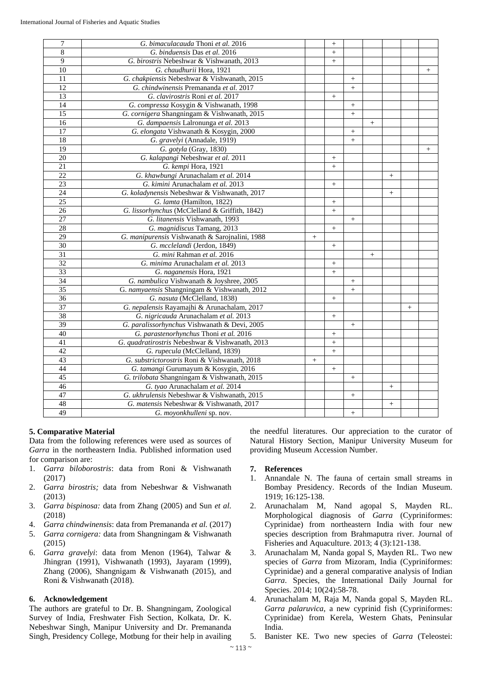| 7  | G. bimaculacauda Thoni et al. 2016              |        | $+$             |                 |        |        |        |        |
|----|-------------------------------------------------|--------|-----------------|-----------------|--------|--------|--------|--------|
| 8  | G. binduensis Das et al. 2016                   |        | $+$             |                 |        |        |        |        |
| 9  | G. birostris Nebeshwar & Vishwanath, 2013       |        | $+$             |                 |        |        |        |        |
| 10 | G. chaudhurii Hora, 1921                        |        |                 |                 |        |        |        | $^{+}$ |
| 11 | G. chakpiensis Nebeshwar & Vishwanath, 2015     |        |                 | $^{+}$          |        |        |        |        |
| 12 | G. chindwinensis Premananda et al. 2017         |        |                 | $+$             |        |        |        |        |
| 13 | G. clavirostris Roni et al. 2017                |        | $+$             |                 |        |        |        |        |
| 14 | G. compressa Kosygin & Vishwanath, 1998         |        |                 | $\! + \!\!\!\!$ |        |        |        |        |
| 15 | G. cornigera Shangningam & Vishwanath, 2015     |        |                 | $^{+}$          |        |        |        |        |
| 16 | G. dampaensis Lalronunga et al. 2013            |        |                 |                 | $^{+}$ |        |        |        |
| 17 | G. elongata Vishwanath & Kosygin, 2000          |        |                 | $^{+}$          |        |        |        |        |
| 18 | G. gravelyi (Annadale, 1919)                    |        |                 | $^{+}$          |        |        |        |        |
| 19 | G. gotyla (Gray, 1830)                          |        |                 |                 |        |        |        | $^{+}$ |
| 20 | G. kalapangi Nebeshwar et al. 2011              |        | $^{+}$          |                 |        |        |        |        |
| 21 | G. kempi Hora, 1921                             |        | $+$             |                 |        |        |        |        |
| 22 | G. khawbungi Arunachalam et al. 2014            |        |                 |                 |        | $^{+}$ |        |        |
| 23 | G. kimini Arunachalam et al. 2013               |        | $+$             |                 |        |        |        |        |
| 24 | G. koladynensis Nebeshwar & Vishwanath, 2017    |        |                 |                 |        | $^{+}$ |        |        |
| 25 | G. lamta (Hamilton, 1822)                       |        | $+$             |                 |        |        |        |        |
| 26 | G. lissorhynchus (McClelland & Griffith, 1842)  |        | $+$             |                 |        |        |        |        |
| 27 | G. litanensis Vishwanath, 1993                  |        |                 | $^{+}$          |        |        |        |        |
| 28 | G. magnidiscus Tamang, 2013                     |        | $+$             |                 |        |        |        |        |
| 29 | G. manipurensis Vishwanath & Sarojnalini, 1988  | $^{+}$ |                 |                 |        |        |        |        |
| 30 | G. mcclelandi (Jerdon, 1849)                    |        | $+$             |                 |        |        |        |        |
| 31 | G. mini Rahman et al. 2016                      |        |                 |                 | $^{+}$ |        |        |        |
| 32 | G. minima Arunachalam et al. 2013               |        | $+$             |                 |        |        |        |        |
| 33 | G. naganensis Hora, 1921                        |        | $+$             |                 |        |        |        |        |
| 34 | G. nambulica Vishwanath & Joyshree, 2005        |        |                 | $\! + \!\!\!\!$ |        |        |        |        |
| 35 | G. namyaensis Shangningam & Vishwanath, 2012    |        |                 | $\ddot{}$       |        |        |        |        |
| 36 | G. nasuta (McClelland, 1838)                    |        | $+$             |                 |        |        |        |        |
| 37 | G. nepalensis Rayamajhi & Arunachalam, 2017     |        |                 |                 |        |        | $^{+}$ |        |
| 38 | G. nigricauda Arunachalam et al. 2013           |        | $\! + \!\!\!\!$ |                 |        |        |        |        |
| 39 | G. paralissorhynchus Vishwanath & Devi, 2005    |        |                 | $^{+}$          |        |        |        |        |
| 40 | G. parastenorhynchus Thoni et al. 2016          |        | $\! + \!\!\!\!$ |                 |        |        |        |        |
| 41 | G. quadratirostris Nebeshwar & Vishwanath, 2013 |        | $+$             |                 |        |        |        |        |
| 42 | G. rupecula (McClelland, 1839)                  |        | $^{+}$          |                 |        |        |        |        |
| 43 | G. substrictorostris Roni & Vishwanath, 2018    | $^{+}$ |                 |                 |        |        |        |        |
| 44 | G. tamangi Gurumayum & Kosygin, 2016            |        | $\! + \!\!\!\!$ |                 |        |        |        |        |
| 45 | G. trilobata Shangningam & Vishwanath, 2015     |        |                 | $^{+}$          |        |        |        |        |
| 46 | G. tyao Arunachalam et al. 2014                 |        |                 |                 |        | $^{+}$ |        |        |
| 47 | G. ukhrulensis Nebeshwar & Vishwanath, 2015     |        |                 | $^{+}$          |        |        |        |        |
| 48 | G. matensis Nebeshwar & Vishwanath, 2017        |        |                 |                 |        | $^{+}$ |        |        |
| 49 | G. moyonkhulleni sp. nov.                       |        |                 | $^{+}$          |        |        |        |        |

## **5. Comparative Material**

Data from the following references were used as sources of *Garra* in the northeastern India. Published information used for comparison are:

- 1. *Garra biloborostris*: data from Roni & Vishwanath (2017)
- 2. *Garra birostris;* data from Nebeshwar & Vishwanath (2013)
- 3. *Garra bispinosa:* data from Zhang (2005) and Sun *et al.* (2018)
- 4. *Garra chindwinensis*: data from Premananda *et al.* (2017)
- 5. *Garra cornigera:* data from Shangningam & Vishwanath (2015)
- 6. *Garra gravelyi*: data from Menon (1964), Talwar & Jhingran (1991), Vishwanath (1993), Jayaram (1999), Zhang (2006), Shangnigam & Vishwanath (2015), and Roni & Vishwanath (2018).

## **6. Acknowledgement**

The authors are grateful to Dr. B. Shangningam, Zoological Survey of India, Freshwater Fish Section, Kolkata, Dr. K. Nebeshwar Singh, Manipur University and Dr. Premananda Singh, Presidency College, Motbung for their help in availing

the needful literatures. Our appreciation to the curator of Natural History Section, Manipur University Museum for providing Museum Accession Number.

## **7. References**

- 1. Annandale N. The fauna of certain small streams in Bombay Presidency. Records of the Indian Museum. 1919; 16:125-138.
- 2. Arunachalam M, Nand agopal S, Mayden RL. Morphological diagnosis of *Garra* (Cypriniformes: Cyprinidae) from northeastern India with four new species description from Brahmaputra river. Journal of Fisheries and Aquaculture. 2013; 4 (3):121-138.
- 3. Arunachalam M, Nanda gopal S, Mayden RL. Two new species of *Garra* from Mizoram, India (Cypriniformes: Cyprinidae) and a general comparative analysis of Indian *Garra*. Species, the International Daily Journal for Species. 2014; 10(24):58-78.
- 4. Arunachalam M, Raja M, Nanda gopal S, Mayden RL. *Garra palaruvica*, a new cyprinid fish (Cypriniformes: Cyprinidae) from Kerela, Western Ghats, Peninsular India.
- 5. Banister KE. Two new species of *Garra* (Teleostei: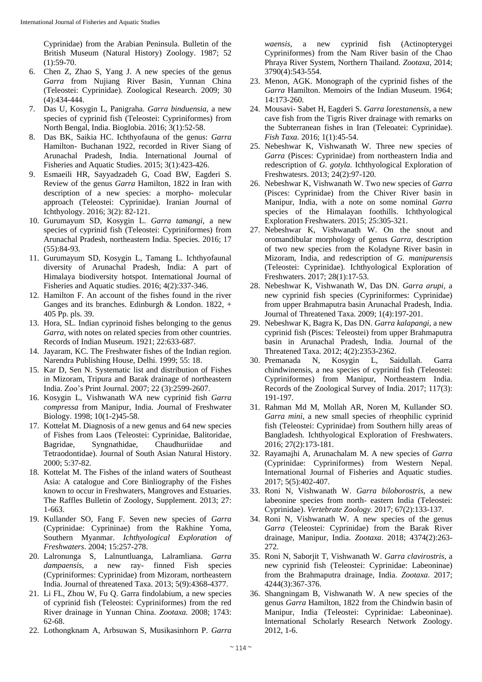Cyprinidae) from the Arabian Peninsula. Bulletin of the British Museum (Natural History) Zoology. 1987; 52  $(1):$ 59-70.

- 6. Chen Z, Zhao S, Yang J. A new species of the genus *Garra* from Nujiang River Basin, Yunnan China (Teleostei: Cyprinidae). Zoological Research. 2009; 30 (4):434-444.
- 7. Das U, Kosygin L, Panigraha. *Garra binduensia,* a new species of cyprinid fish (Teleostei: Cypriniformes) from North Bengal, India. Bioglobia. 2016; 3(1):52-58.
- 8. Das BK, Saikia HC. Ichthyofauna of the genus: *Garra* Hamilton- Buchanan 1922, recorded in River Siang of Arunachal Pradesh, India. International Journal of Fisheries and Aquatic Studies. 2015; 3(1):423-426.
- 9. Esmaeili HR, Sayyadzadeh G, Coad BW, Eagderi S. Review of the genus *Garra* Hamilton, 1822 in Iran with description of a new species: a morpho- molecular approach (Teleostei: Cyprinidae). Iranian Journal of Ichthyology. 2016; 3(2): 82-121.
- 10. Gurumayum SD, Kosygin L. *Garra tamangi,* a new species of cyprinid fish (Teleostei: Cypriniformes) from Arunachal Pradesh, northeastern India. Species*.* 2016; 17 (55):84-93.
- 11. Gurumayum SD, Kosygin L, Tamang L. Ichthyofaunal diversity of Arunachal Pradesh, India: A part of Himalaya biodiversity hotspot. International Journal of Fisheries and Aquatic studies. 2016; 4(2):337-346.
- 12. Hamilton F. An account of the fishes found in the river Ganges and its branches. Edinburgh & London.  $1822$ , + 405 Pp. pls. 39.
- 13. Hora, SL. Indian cyprinoid fishes belonging to the genus *Garra,* with notes on related species from other countries. Records of Indian Museum. 1921; 22:633-687.
- 14. Jayaram, KC. The Freshwater fishes of the Indian region. Narendra Publishing House, Delhi. 1999; 55: 18.
- 15. Kar D, Sen N. Systematic list and distribution of Fishes in Mizoram, Tripura and Barak drainage of northeastern India. Zoo's Print Journal. 2007; 22 (3):2599-2607.
- 16. Kosygin L, Vishwanath WA new cyprinid fish *Garra compressa* from Manipur, India. *J*ournal of Freshwater Biology. 1998; 10(1-2)45-58.
- 17. Kottelat M. Diagnosis of a new genus and 64 new species of Fishes from Laos (Teleostei: Cyprinidae, Balitoridae, Bagridae, Syngnathidae, Chaudhuriidae and Tetraodontidae). Journal of South Asian Natural History. 2000; 5:37-82.
- 18. Kottelat M. The Fishes of the inland waters of Southeast Asia: A catalogue and Core Binliography of the Fishes known to occur in Freshwaters, Mangroves and Estuaries. The Raffles Bulletin of Zoology, Supplement. 2013; 27: 1-663.
- 19. Kullander SO, Fang F. Seven new species of *Garra* (Cyprinidae: Cyprininae) from the Rakhine Yoma, Southern Myanmar. *Ichthyological Exploration of Freshwaters*. 2004; 15:257-278.
- 20. Lalronunga S, Lalnuntluanga, Lalramliana. *Garra dampaensis*, a new ray- finned Fish species (Cypriniformes: Cyprinidae) from Mizoram, northeastern India. Journal of threatened Taxa. 2013; 5(9):4368-4377.
- 21. Li FL, Zhou W, Fu Q. Garra findolabium, a new species of cyprinid fish (Teleostei: Cypriniformes) from the red River drainage in Yunnan China. *Zootaxa.* 2008; 1743: 62-68.
- 22. Lothongknam A, Arbsuwan S, Musikasinhorn P. *Garra*

*waensis*, a new cyprinid fish (Actinopterygei Cypriniformes) from the Nam River basin of the Chao Phraya River System, Northern Thailand. *Zootaxa*, 2014; 3790(4):543-554.

- 23. Menon, AGK. Monograph of the cyprinid fishes of the *Garra* Hamilton. Memoirs of the Indian Museum. 1964; 14:173-260.
- 24. Mousavi- Sabet H, Eagderi S. *Garra lorestanensis,* a new cave fish from the Tigris River drainage with remarks on the Subterranean fishes in Iran (Teleoatei: Cyprinidae). *Fish Taxa.* 2016; 1(1):45-54.
- 25. Nebeshwar K, Vishwanath W. Three new species of *Garra* (Pisces: Cyprinidae) from northeastern India and redescription of *G. gotyla.* Ichthyological Exploration of Freshwatesrs. 2013; 24(2):97-120.
- 26. Nebeshwar K, Vishwanath W. Two new species of *Garra* (Pisces: Cyprinidae) from the Chiver River basin in Manipur, India, with a note on some nominal *Garra* species of the Himalayan foothills. Ichthyological Exploration Freshwaters. 2015; 25:305-321.
- 27. Nebeshwar K, Vishwanath W. On the snout and oromandibular morphology of genus *Garra*, description of two new species from the Koladyne River basin in Mizoram, India, and redescription of *G. manipurensis* (Teleostei: Cyprinidae). Ichthyological Exploration of Freshwaters. 2017; 28(1):17-53.
- 28. Nebeshwar K, Vishwanath W, Das DN. *Garra arupi,* a new cyprinid fish species (Cypriniformes: Cyprinidae) from upper Brahmaputra basin Arunachal Pradesh, India. Journal of Threatened Taxa. 2009; 1(4):197-201.
- 29. Nebeshwar K, Bagra K, Das DN. *Garra kalapangi,* a new cyprinid fish (Pisces: Teleostei) from upper Brahmaputra basin in Arunachal Pradesh, India. Journal of the Threatened Taxa. 2012; 4(2):2353-2362.
- 30. Premanada N, Kosygin L, Saidullah. Garra chindwinensis, a nea species of cyprinid fish (Teleostei: Cypriniformes) from Manipur, Northeastern India. Records of the Zoological Survey of India. 2017; 117(3): 191-197.
- 31. Rahman Md M, Mollah AR, Noren M, Kullander SO. *Garra mini*, a new small species of rheophilic cyprinid fish (Teleostei: Cyprinidae) from Southern hilly areas of Bangladesh. Ichthyological Exploration of Freshwaters. 2016; 27(2):173-181.
- 32. Rayamajhi A, Arunachalam M. A new species of *Garra* (Cyprinidae: Cypriniformes) from Western Nepal. International Journal of Fisheries and Aquatic studies. 2017; 5(5):402-407.
- 33. Roni N, Vishwanath W. *Garra biloborostris,* a new labeonine species from north- eastern India (Teleostei: Cyprinidae). *Vertebrate Zoology.* 2017; 67(2):133-137.
- 34. Roni N, Vishwanath W. A new species of the genus *Garra* (Teleostei: Cyprinidae) from the Barak River drainage, Manipur, India. *Zootaxa*. 2018; 4374(2):263- 272.
- 35. Roni N, Saborjit T, Vishwanath W. *Garra clavirostris*, a new cyprinid fish (Teleostei: Cyprinidae: Labeoninae) from the Brahmaputra drainage, India. *Zootaxa*. 2017; 4244(3):367-376.
- 36. Shangningam B, Vishwanath W. A new species of the genus *Garra* Hamilton, 1822 from the Chindwin basin of Manipur, India (Teleostei: Cyprinidae: Labeoninae). International Scholarly Research Network Zoology. 2012, 1-6.